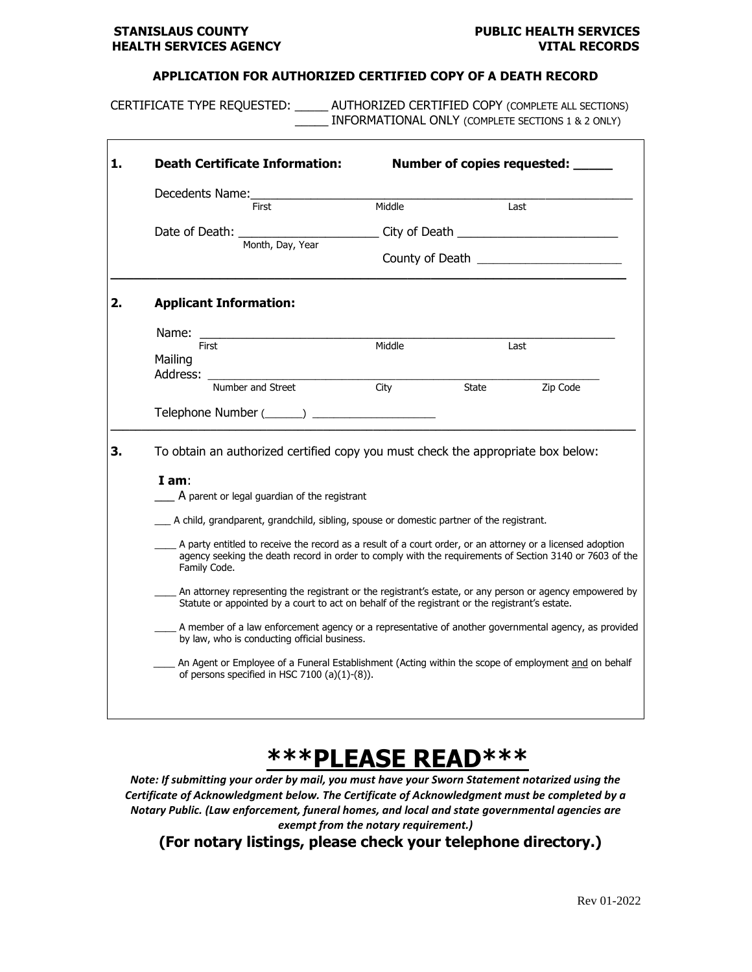### **STANISLAUS COUNTY COUNTY COUNTY PUBLIC HEALTH SERVICES HEALTH SERVICES AGENCY VITAL RECORDS**

#### **APPLICATION FOR AUTHORIZED CERTIFIED COPY OF A DEATH RECORD**

CERTIFICATE TYPE REQUESTED: \_\_\_\_\_ AUTHORIZED CERTIFIED COPY (COMPLETE ALL SECTIONS) \_\_\_\_\_ INFORMATIONAL ONLY (COMPLETE SECTIONS 1 & 2 ONLY)

| 1. | <b>Death Certificate Information:</b>                                                                                                       |                                                                                                                                                                                                                                                         |                                                                                                                                                                                                                       | Number of copies requested: ___ |          |  |  |
|----|---------------------------------------------------------------------------------------------------------------------------------------------|---------------------------------------------------------------------------------------------------------------------------------------------------------------------------------------------------------------------------------------------------------|-----------------------------------------------------------------------------------------------------------------------------------------------------------------------------------------------------------------------|---------------------------------|----------|--|--|
|    | Decedents Name:                                                                                                                             | <b>First</b>                                                                                                                                                                                                                                            | Middle                                                                                                                                                                                                                |                                 | Last     |  |  |
|    |                                                                                                                                             |                                                                                                                                                                                                                                                         |                                                                                                                                                                                                                       |                                 |          |  |  |
|    |                                                                                                                                             | City of Death <b>Exercise Servers</b> and the server of the server of the server of the server of the server of the server of the server of the server of the server of the server of the server of the server of the server of the<br>Month, Day, Year |                                                                                                                                                                                                                       |                                 |          |  |  |
| 2. | <b>Applicant Information:</b>                                                                                                               |                                                                                                                                                                                                                                                         |                                                                                                                                                                                                                       |                                 |          |  |  |
|    | Name:<br><b>First</b>                                                                                                                       |                                                                                                                                                                                                                                                         | Middle                                                                                                                                                                                                                |                                 | Last     |  |  |
|    | Mailing<br>Address:                                                                                                                         |                                                                                                                                                                                                                                                         |                                                                                                                                                                                                                       |                                 |          |  |  |
|    |                                                                                                                                             | Number and Street                                                                                                                                                                                                                                       | City                                                                                                                                                                                                                  | State                           | Zip Code |  |  |
|    |                                                                                                                                             |                                                                                                                                                                                                                                                         | Telephone Number (______) _____________________                                                                                                                                                                       |                                 |          |  |  |
| 3. | To obtain an authorized certified copy you must check the appropriate box below:<br>$I$ am:<br>A parent or legal guardian of the registrant |                                                                                                                                                                                                                                                         |                                                                                                                                                                                                                       |                                 |          |  |  |
|    |                                                                                                                                             | A child, grandparent, grandchild, sibling, spouse or domestic partner of the registrant.                                                                                                                                                                |                                                                                                                                                                                                                       |                                 |          |  |  |
|    | Family Code.                                                                                                                                |                                                                                                                                                                                                                                                         | A party entitled to receive the record as a result of a court order, or an attorney or a licensed adoption<br>agency seeking the death record in order to comply with the requirements of Section 3140 or 7603 of the |                                 |          |  |  |
|    |                                                                                                                                             |                                                                                                                                                                                                                                                         | An attorney representing the registrant or the registrant's estate, or any person or agency empowered by<br>Statute or appointed by a court to act on behalf of the registrant or the registrant's estate.            |                                 |          |  |  |
|    |                                                                                                                                             | by law, who is conducting official business.                                                                                                                                                                                                            | A member of a law enforcement agency or a representative of another governmental agency, as provided                                                                                                                  |                                 |          |  |  |
|    |                                                                                                                                             | of persons specified in HSC 7100 (a)(1)-(8)).                                                                                                                                                                                                           | An Agent or Employee of a Funeral Establishment (Acting within the scope of employment and on behalf                                                                                                                  |                                 |          |  |  |
|    |                                                                                                                                             |                                                                                                                                                                                                                                                         |                                                                                                                                                                                                                       |                                 |          |  |  |

# **\*\*\*PLEASE READ\*\*\***

*Note: If submitting your order by mail, you must have your Sworn Statement notarized using the Certificate of Acknowledgment below. The Certificate of Acknowledgment must be completed by a Notary Public. (Law enforcement, funeral homes, and local and state governmental agencies are exempt from the notary requirement.)*

**(For notary listings, please check your telephone directory.)**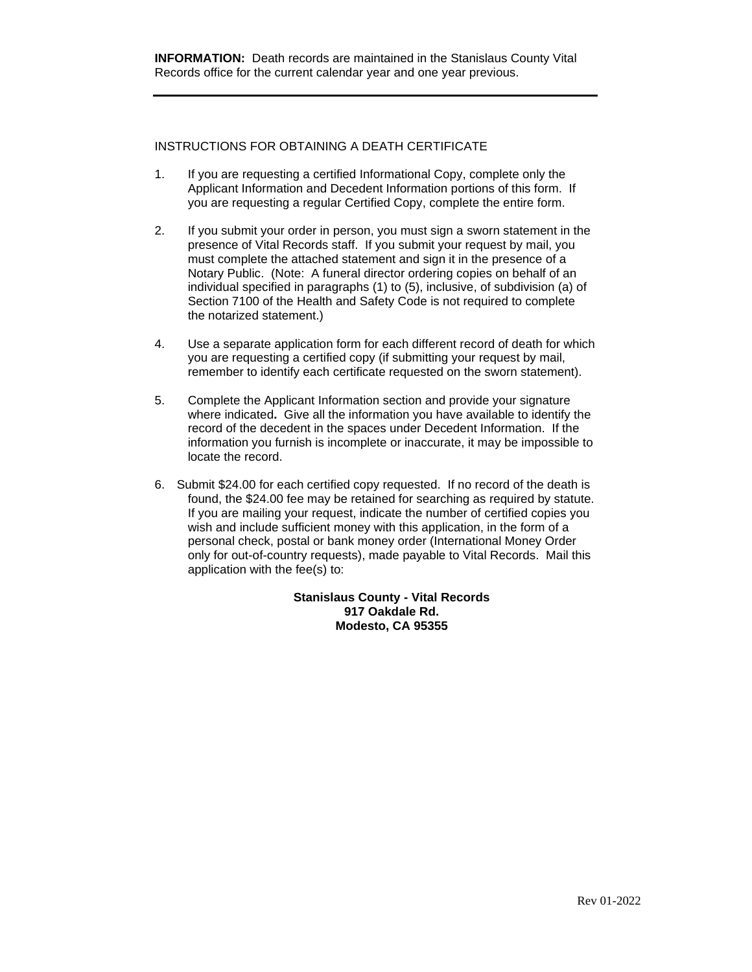### INSTRUCTIONS FOR OBTAINING A DEATH CERTIFICATE

- 1. If you are requesting a certified Informational Copy, complete only the Applicant Information and Decedent Information portions of this form. If you are requesting a regular Certified Copy, complete the entire form.
- 2. If you submit your order in person, you must sign a sworn statement in the presence of Vital Records staff. If you submit your request by mail, you must complete the attached statement and sign it in the presence of a Notary Public. (Note: A funeral director ordering copies on behalf of an individual specified in paragraphs (1) to (5), inclusive, of subdivision (a) of Section 7100 of the Health and Safety Code is not required to complete the notarized statement.)
- 4. Use a separate application form for each different record of death for which you are requesting a certified copy (if submitting your request by mail, remember to identify each certificate requested on the sworn statement).
- 5. Complete the Applicant Information section and provide your signature where indicated**.** Give all the information you have available to identify the record of the decedent in the spaces under Decedent Information. If the information you furnish is incomplete or inaccurate, it may be impossible to locate the record.
- 6. Submit \$24.00 for each certified copy requested. If no record of the death is found, the \$24.00 fee may be retained for searching as required by statute. If you are mailing your request, indicate the number of certified copies you wish and include sufficient money with this application, in the form of a personal check, postal or bank money order (International Money Order only for out-of-country requests), made payable to Vital Records. Mail this application with the fee(s) to:

**Stanislaus County - Vital Records 917 Oakdale Rd. Modesto, CA 95355**